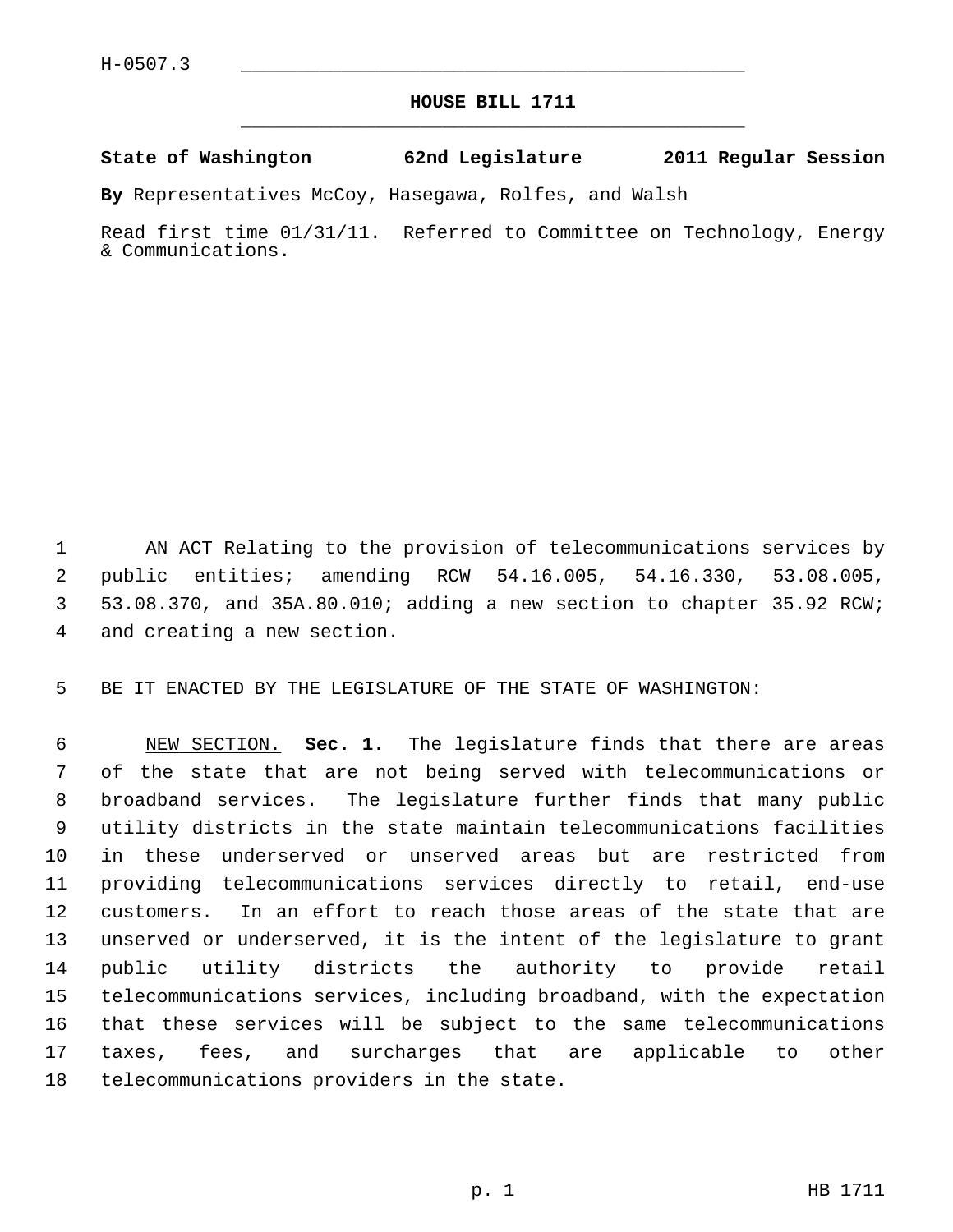## **HOUSE BILL 1711** \_\_\_\_\_\_\_\_\_\_\_\_\_\_\_\_\_\_\_\_\_\_\_\_\_\_\_\_\_\_\_\_\_\_\_\_\_\_\_\_\_\_\_\_\_

## **State of Washington 62nd Legislature 2011 Regular Session**

**By** Representatives McCoy, Hasegawa, Rolfes, and Walsh

Read first time 01/31/11. Referred to Committee on Technology, Energy & Communications.

 1 AN ACT Relating to the provision of telecommunications services by 2 public entities; amending RCW 54.16.005, 54.16.330, 53.08.005, 3 53.08.370, and 35A.80.010; adding a new section to chapter 35.92 RCW; 4 and creating a new section.

5 BE IT ENACTED BY THE LEGISLATURE OF THE STATE OF WASHINGTON:

 6 NEW SECTION. **Sec. 1.** The legislature finds that there are areas 7 of the state that are not being served with telecommunications or 8 broadband services. The legislature further finds that many public 9 utility districts in the state maintain telecommunications facilities 10 in these underserved or unserved areas but are restricted from 11 providing telecommunications services directly to retail, end-use 12 customers. In an effort to reach those areas of the state that are 13 unserved or underserved, it is the intent of the legislature to grant 14 public utility districts the authority to provide retail 15 telecommunications services, including broadband, with the expectation 16 that these services will be subject to the same telecommunications 17 taxes, fees, and surcharges that are applicable to other 18 telecommunications providers in the state.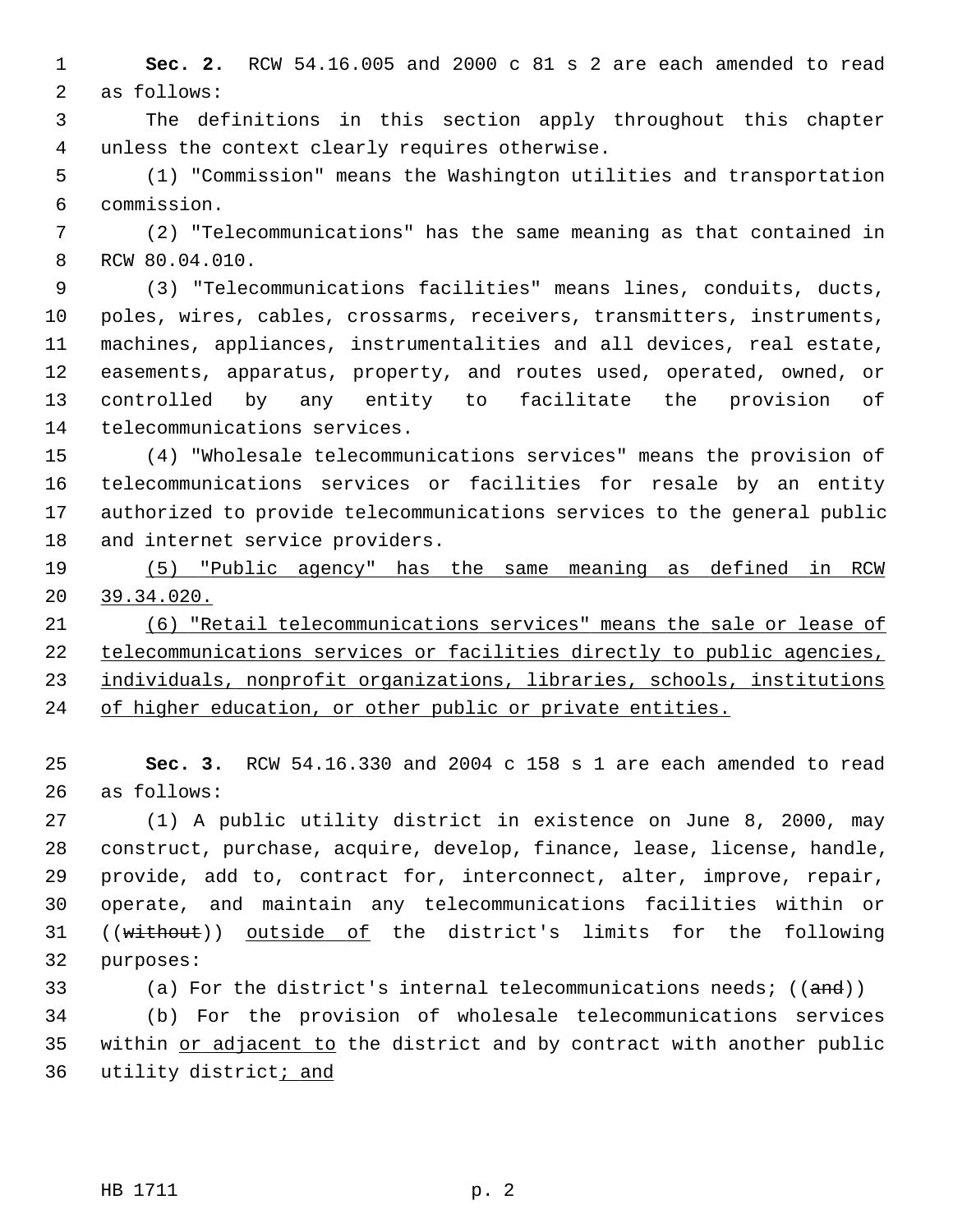1 **Sec. 2.** RCW 54.16.005 and 2000 c 81 s 2 are each amended to read 2 as follows:

 3 The definitions in this section apply throughout this chapter 4 unless the context clearly requires otherwise.

 5 (1) "Commission" means the Washington utilities and transportation 6 commission.

 7 (2) "Telecommunications" has the same meaning as that contained in 8 RCW 80.04.010.

 9 (3) "Telecommunications facilities" means lines, conduits, ducts, 10 poles, wires, cables, crossarms, receivers, transmitters, instruments, 11 machines, appliances, instrumentalities and all devices, real estate, 12 easements, apparatus, property, and routes used, operated, owned, or 13 controlled by any entity to facilitate the provision of 14 telecommunications services.

15 (4) "Wholesale telecommunications services" means the provision of 16 telecommunications services or facilities for resale by an entity 17 authorized to provide telecommunications services to the general public 18 and internet service providers.

19 (5) "Public agency" has the same meaning as defined in RCW 20 39.34.020.

 (6) "Retail telecommunications services" means the sale or lease of telecommunications services or facilities directly to public agencies, individuals, nonprofit organizations, libraries, schools, institutions of higher education, or other public or private entities.

25 **Sec. 3.** RCW 54.16.330 and 2004 c 158 s 1 are each amended to read 26 as follows:

27 (1) A public utility district in existence on June 8, 2000, may 28 construct, purchase, acquire, develop, finance, lease, license, handle, 29 provide, add to, contract for, interconnect, alter, improve, repair, 30 operate, and maintain any telecommunications facilities within or 31 ((without)) outside of the district's limits for the following 32 purposes:

33 (a) For the district's internal telecommunications needs;  $((and))$ 34 (b) For the provision of wholesale telecommunications services 35 within or adjacent to the district and by contract with another public 36 utility district; and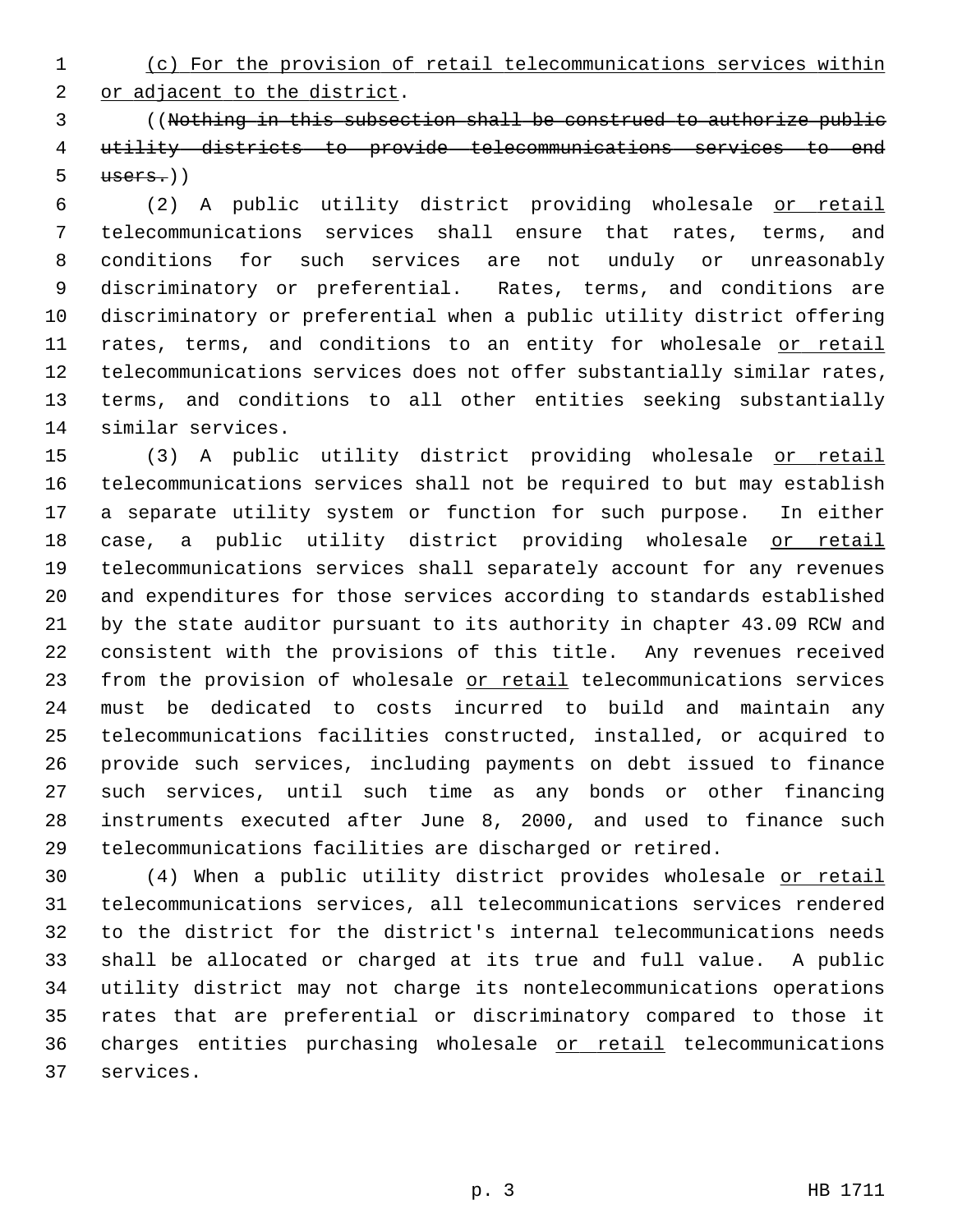1 (c) For the provision of retail telecommunications services within

2 or adjacent to the district.

 3 ((Nothing in this subsection shall be construed to authorize public 4 utility districts to provide telecommunications services to end  $5$   $users.)$ )

 6 (2) A public utility district providing wholesale or retail 7 telecommunications services shall ensure that rates, terms, and 8 conditions for such services are not unduly or unreasonably 9 discriminatory or preferential. Rates, terms, and conditions are 10 discriminatory or preferential when a public utility district offering 11 rates, terms, and conditions to an entity for wholesale or retail 12 telecommunications services does not offer substantially similar rates, 13 terms, and conditions to all other entities seeking substantially 14 similar services.

15 (3) A public utility district providing wholesale or retail 16 telecommunications services shall not be required to but may establish 17 a separate utility system or function for such purpose. In either 18 case, a public utility district providing wholesale or retail 19 telecommunications services shall separately account for any revenues 20 and expenditures for those services according to standards established 21 by the state auditor pursuant to its authority in chapter 43.09 RCW and 22 consistent with the provisions of this title. Any revenues received 23 from the provision of wholesale or retail telecommunications services 24 must be dedicated to costs incurred to build and maintain any 25 telecommunications facilities constructed, installed, or acquired to 26 provide such services, including payments on debt issued to finance 27 such services, until such time as any bonds or other financing 28 instruments executed after June 8, 2000, and used to finance such 29 telecommunications facilities are discharged or retired.

30 (4) When a public utility district provides wholesale or retail 31 telecommunications services, all telecommunications services rendered 32 to the district for the district's internal telecommunications needs 33 shall be allocated or charged at its true and full value. A public 34 utility district may not charge its nontelecommunications operations 35 rates that are preferential or discriminatory compared to those it 36 charges entities purchasing wholesale or retail telecommunications 37 services.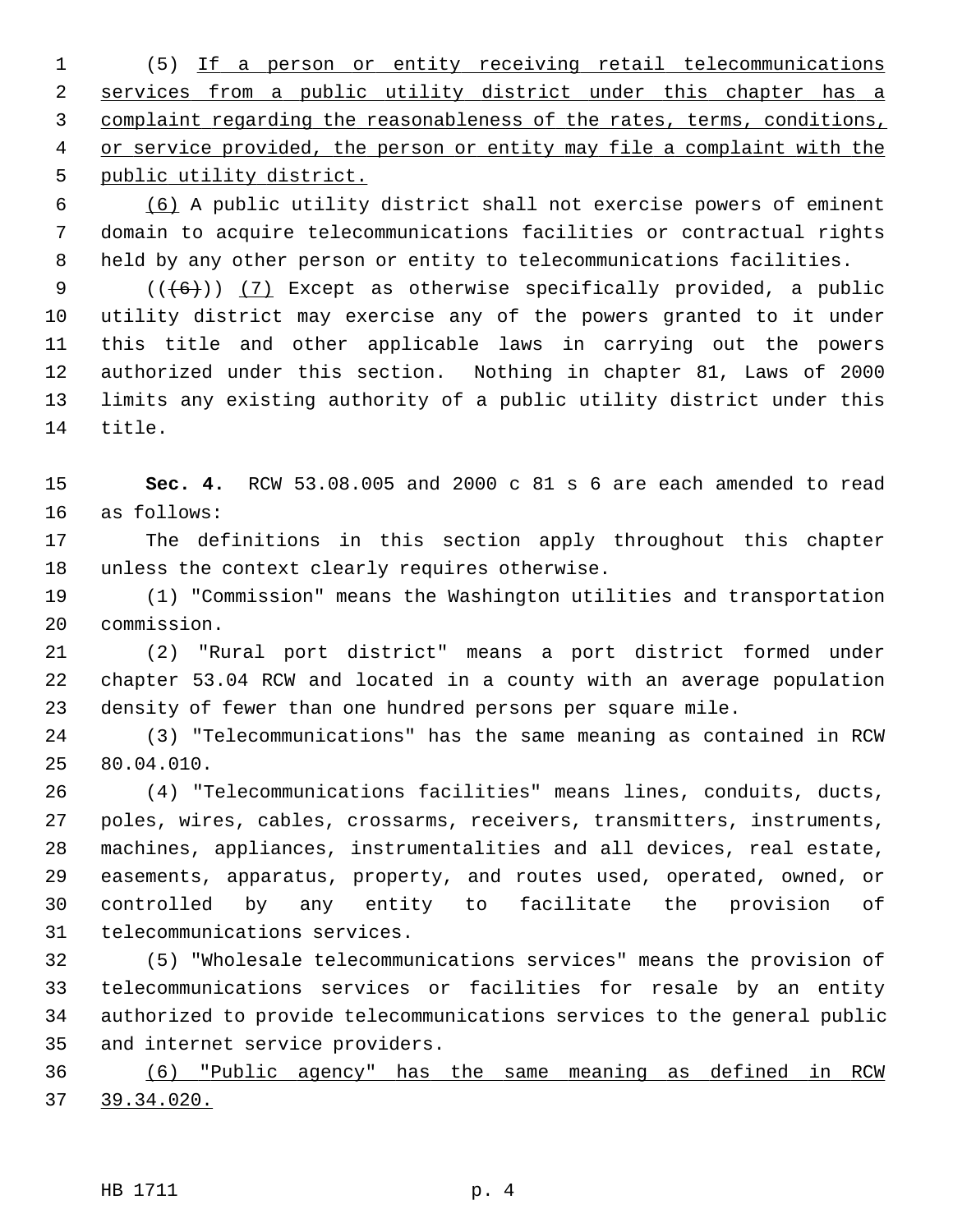1 (5) If a person or entity receiving retail telecommunications services from a public utility district under this chapter has a complaint regarding the reasonableness of the rates, terms, conditions, or service provided, the person or entity may file a complaint with the public utility district.

 6 (6) A public utility district shall not exercise powers of eminent 7 domain to acquire telecommunications facilities or contractual rights 8 held by any other person or entity to telecommunications facilities.

9  $((+6))$  (7) Except as otherwise specifically provided, a public 10 utility district may exercise any of the powers granted to it under 11 this title and other applicable laws in carrying out the powers 12 authorized under this section. Nothing in chapter 81, Laws of 2000 13 limits any existing authority of a public utility district under this 14 title.

15 **Sec. 4.** RCW 53.08.005 and 2000 c 81 s 6 are each amended to read 16 as follows:

17 The definitions in this section apply throughout this chapter 18 unless the context clearly requires otherwise.

19 (1) "Commission" means the Washington utilities and transportation 20 commission.

21 (2) "Rural port district" means a port district formed under 22 chapter 53.04 RCW and located in a county with an average population 23 density of fewer than one hundred persons per square mile.

24 (3) "Telecommunications" has the same meaning as contained in RCW 25 80.04.010.

26 (4) "Telecommunications facilities" means lines, conduits, ducts, 27 poles, wires, cables, crossarms, receivers, transmitters, instruments, 28 machines, appliances, instrumentalities and all devices, real estate, 29 easements, apparatus, property, and routes used, operated, owned, or 30 controlled by any entity to facilitate the provision of 31 telecommunications services.

32 (5) "Wholesale telecommunications services" means the provision of 33 telecommunications services or facilities for resale by an entity 34 authorized to provide telecommunications services to the general public 35 and internet service providers.

36 (6) "Public agency" has the same meaning as defined in RCW 37 39.34.020.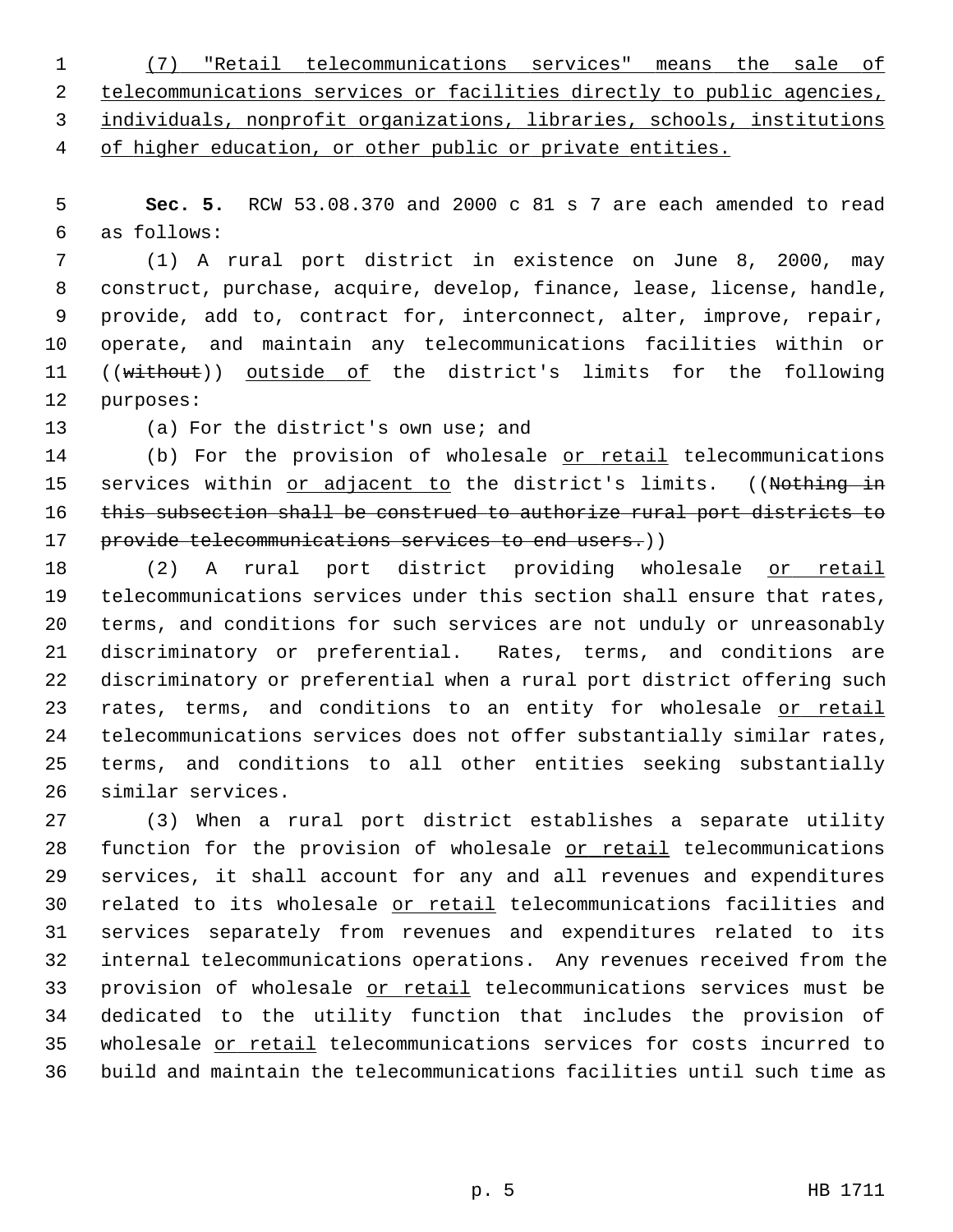(7) "Retail telecommunications services" means the sale of telecommunications services or facilities directly to public agencies, individuals, nonprofit organizations, libraries, schools, institutions of higher education, or other public or private entities.

 5 **Sec. 5.** RCW 53.08.370 and 2000 c 81 s 7 are each amended to read 6 as follows:

 7 (1) A rural port district in existence on June 8, 2000, may 8 construct, purchase, acquire, develop, finance, lease, license, handle, 9 provide, add to, contract for, interconnect, alter, improve, repair, 10 operate, and maintain any telecommunications facilities within or 11 ((without)) outside of the district's limits for the following 12 purposes:

13 (a) For the district's own use; and

14 (b) For the provision of wholesale or retail telecommunications 15 services within or adjacent to the district's limits. ((Nothing in 16 this subsection shall be construed to authorize rural port districts to 17 provide telecommunications services to end users.))

18 (2) A rural port district providing wholesale or retail 19 telecommunications services under this section shall ensure that rates, 20 terms, and conditions for such services are not unduly or unreasonably 21 discriminatory or preferential. Rates, terms, and conditions are 22 discriminatory or preferential when a rural port district offering such 23 rates, terms, and conditions to an entity for wholesale or retail 24 telecommunications services does not offer substantially similar rates, 25 terms, and conditions to all other entities seeking substantially 26 similar services.

27 (3) When a rural port district establishes a separate utility 28 function for the provision of wholesale or retail telecommunications 29 services, it shall account for any and all revenues and expenditures 30 related to its wholesale or retail telecommunications facilities and 31 services separately from revenues and expenditures related to its 32 internal telecommunications operations. Any revenues received from the 33 provision of wholesale or retail telecommunications services must be 34 dedicated to the utility function that includes the provision of 35 wholesale or retail telecommunications services for costs incurred to 36 build and maintain the telecommunications facilities until such time as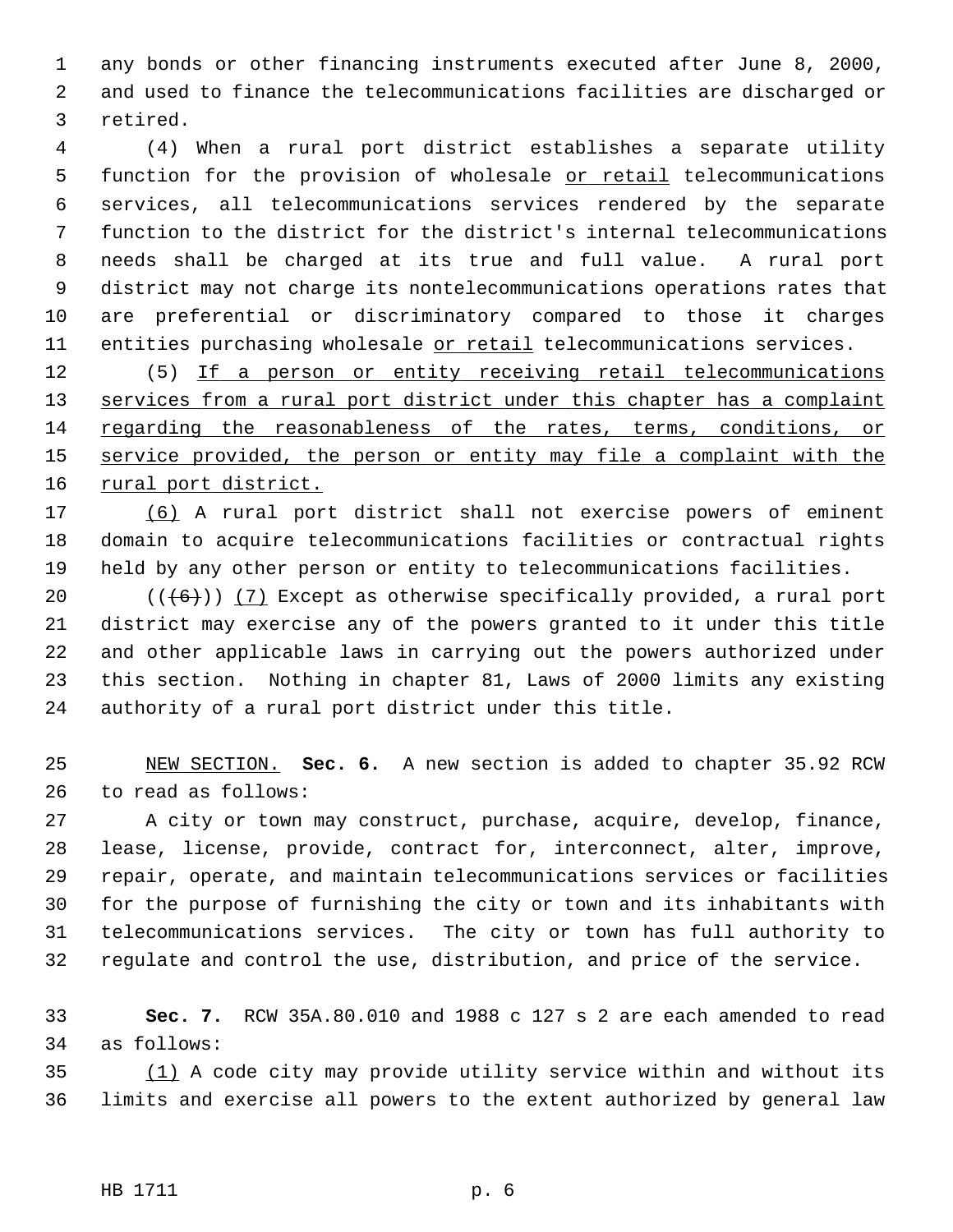1 any bonds or other financing instruments executed after June 8, 2000, 2 and used to finance the telecommunications facilities are discharged or 3 retired.

 4 (4) When a rural port district establishes a separate utility 5 function for the provision of wholesale or retail telecommunications 6 services, all telecommunications services rendered by the separate 7 function to the district for the district's internal telecommunications 8 needs shall be charged at its true and full value. A rural port 9 district may not charge its nontelecommunications operations rates that 10 are preferential or discriminatory compared to those it charges 11 entities purchasing wholesale or retail telecommunications services.

12 (5) If a person or entity receiving retail telecommunications services from a rural port district under this chapter has a complaint regarding the reasonableness of the rates, terms, conditions, or service provided, the person or entity may file a complaint with the rural port district.

17 (6) A rural port district shall not exercise powers of eminent 18 domain to acquire telecommunications facilities or contractual rights 19 held by any other person or entity to telecommunications facilities.

20  $((+6))$  (7) Except as otherwise specifically provided, a rural port 21 district may exercise any of the powers granted to it under this title 22 and other applicable laws in carrying out the powers authorized under 23 this section. Nothing in chapter 81, Laws of 2000 limits any existing 24 authority of a rural port district under this title.

25 NEW SECTION. **Sec. 6.** A new section is added to chapter 35.92 RCW 26 to read as follows:

27 A city or town may construct, purchase, acquire, develop, finance, 28 lease, license, provide, contract for, interconnect, alter, improve, 29 repair, operate, and maintain telecommunications services or facilities 30 for the purpose of furnishing the city or town and its inhabitants with 31 telecommunications services. The city or town has full authority to 32 regulate and control the use, distribution, and price of the service.

33 **Sec. 7.** RCW 35A.80.010 and 1988 c 127 s 2 are each amended to read 34 as follows:

35 (1) A code city may provide utility service within and without its 36 limits and exercise all powers to the extent authorized by general law